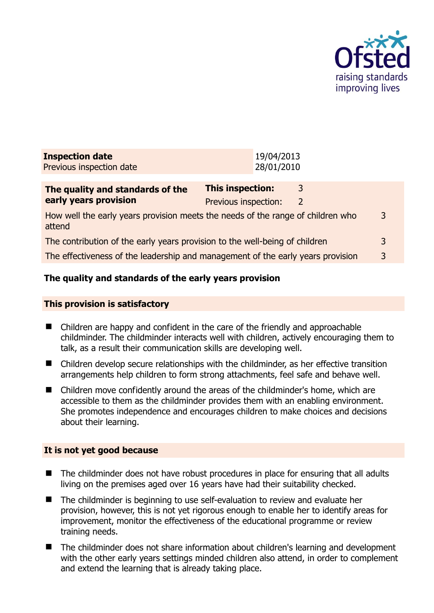

| <b>Inspection date</b><br>Previous inspection date                                             |                                          | 19/04/2013<br>28/01/2010 |                    |   |
|------------------------------------------------------------------------------------------------|------------------------------------------|--------------------------|--------------------|---|
| The quality and standards of the<br>early years provision                                      | This inspection:<br>Previous inspection: |                          | 3<br>$\mathcal{L}$ |   |
| How well the early years provision meets the needs of the range of children who<br>3<br>attend |                                          |                          |                    |   |
| The contribution of the early years provision to the well-being of children                    |                                          |                          |                    | 3 |
| The effectiveness of the leadership and management of the early years provision                |                                          |                          |                    | 3 |
|                                                                                                |                                          |                          |                    |   |

# **The quality and standards of the early years provision**

#### **This provision is satisfactory**

- Children are happy and confident in the care of the friendly and approachable childminder. The childminder interacts well with children, actively encouraging them to talk, as a result their communication skills are developing well.
- Children develop secure relationships with the childminder, as her effective transition arrangements help children to form strong attachments, feel safe and behave well.
- Children move confidently around the areas of the childminder's home, which are accessible to them as the childminder provides them with an enabling environment. She promotes independence and encourages children to make choices and decisions about their learning.

#### **It is not yet good because**

- The childminder does not have robust procedures in place for ensuring that all adults living on the premises aged over 16 years have had their suitability checked.
- The childminder is beginning to use self-evaluation to review and evaluate her provision, however, this is not yet rigorous enough to enable her to identify areas for improvement, monitor the effectiveness of the educational programme or review training needs.
- The childminder does not share information about children's learning and development with the other early years settings minded children also attend, in order to complement and extend the learning that is already taking place.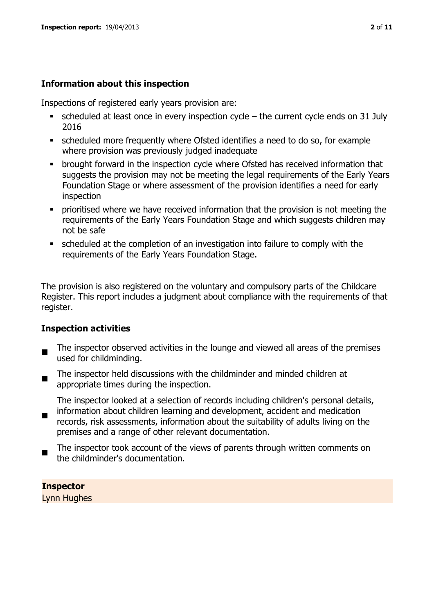#### **Information about this inspection**

Inspections of registered early years provision are:

- $\bullet$  scheduled at least once in every inspection cycle the current cycle ends on 31 July 2016
- scheduled more frequently where Ofsted identifies a need to do so, for example where provision was previously judged inadequate
- **•** brought forward in the inspection cycle where Ofsted has received information that suggests the provision may not be meeting the legal requirements of the Early Years Foundation Stage or where assessment of the provision identifies a need for early inspection
- **•** prioritised where we have received information that the provision is not meeting the requirements of the Early Years Foundation Stage and which suggests children may not be safe
- scheduled at the completion of an investigation into failure to comply with the requirements of the Early Years Foundation Stage.

The provision is also registered on the voluntary and compulsory parts of the Childcare Register. This report includes a judgment about compliance with the requirements of that register.

#### **Inspection activities**

- $\blacksquare$ The inspector observed activities in the lounge and viewed all areas of the premises used for childminding.
- $\blacksquare$ The inspector held discussions with the childminder and minded children at appropriate times during the inspection.

The inspector looked at a selection of records including children's personal details,

- $\blacksquare$ information about children learning and development, accident and medication records, risk assessments, information about the suitability of adults living on the premises and a range of other relevant documentation.
- The inspector took account of the views of parents through written comments on the childminder's documentation.

**Inspector** 

Lynn Hughes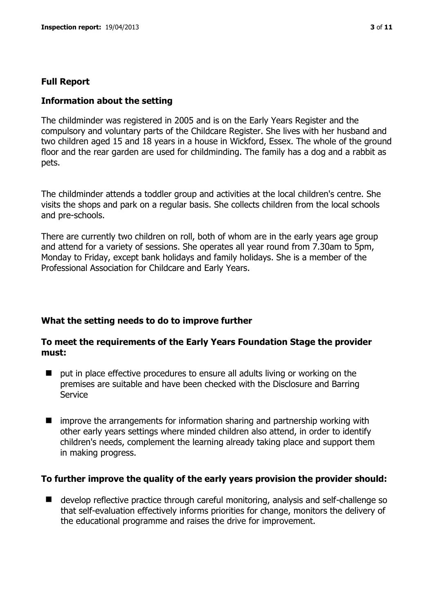#### **Full Report**

#### **Information about the setting**

The childminder was registered in 2005 and is on the Early Years Register and the compulsory and voluntary parts of the Childcare Register. She lives with her husband and two children aged 15 and 18 years in a house in Wickford, Essex. The whole of the ground floor and the rear garden are used for childminding. The family has a dog and a rabbit as pets.

The childminder attends a toddler group and activities at the local children's centre. She visits the shops and park on a regular basis. She collects children from the local schools and pre-schools.

There are currently two children on roll, both of whom are in the early years age group and attend for a variety of sessions. She operates all year round from 7.30am to 5pm, Monday to Friday, except bank holidays and family holidays. She is a member of the Professional Association for Childcare and Early Years.

# **What the setting needs to do to improve further**

#### **To meet the requirements of the Early Years Foundation Stage the provider must:**

- put in place effective procedures to ensure all adults living or working on the premises are suitable and have been checked with the Disclosure and Barring Service
- $\blacksquare$  improve the arrangements for information sharing and partnership working with other early years settings where minded children also attend, in order to identify children's needs, complement the learning already taking place and support them in making progress.

#### **To further improve the quality of the early years provision the provider should:**

■ develop reflective practice through careful monitoring, analysis and self-challenge so that self-evaluation effectively informs priorities for change, monitors the delivery of the educational programme and raises the drive for improvement.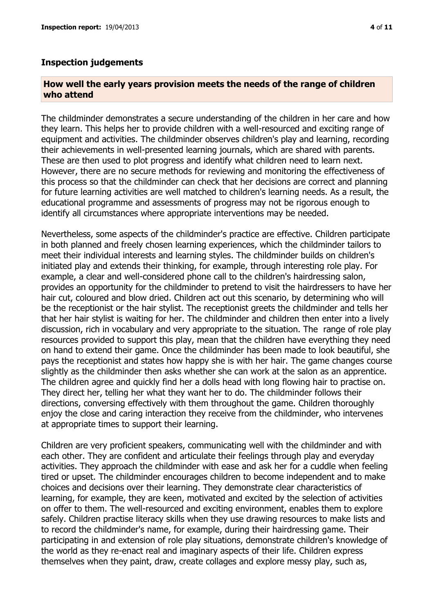#### **Inspection judgements**

#### **How well the early years provision meets the needs of the range of children who attend**

The childminder demonstrates a secure understanding of the children in her care and how they learn. This helps her to provide children with a well-resourced and exciting range of equipment and activities. The childminder observes children's play and learning, recording their achievements in well-presented learning journals, which are shared with parents. These are then used to plot progress and identify what children need to learn next. However, there are no secure methods for reviewing and monitoring the effectiveness of this process so that the childminder can check that her decisions are correct and planning for future learning activities are well matched to children's learning needs. As a result, the educational programme and assessments of progress may not be rigorous enough to identify all circumstances where appropriate interventions may be needed.

Nevertheless, some aspects of the childminder's practice are effective. Children participate in both planned and freely chosen learning experiences, which the childminder tailors to meet their individual interests and learning styles. The childminder builds on children's initiated play and extends their thinking, for example, through interesting role play. For example, a clear and well-considered phone call to the children's hairdressing salon, provides an opportunity for the childminder to pretend to visit the hairdressers to have her hair cut, coloured and blow dried. Children act out this scenario, by determining who will be the receptionist or the hair stylist. The receptionist greets the childminder and tells her that her hair stylist is waiting for her. The childminder and children then enter into a lively discussion, rich in vocabulary and very appropriate to the situation. The range of role play resources provided to support this play, mean that the children have everything they need on hand to extend their game. Once the childminder has been made to look beautiful, she pays the receptionist and states how happy she is with her hair. The game changes course slightly as the childminder then asks whether she can work at the salon as an apprentice. The children agree and quickly find her a dolls head with long flowing hair to practise on. They direct her, telling her what they want her to do. The childminder follows their directions, conversing effectively with them throughout the game. Children thoroughly enjoy the close and caring interaction they receive from the childminder, who intervenes at appropriate times to support their learning.

Children are very proficient speakers, communicating well with the childminder and with each other. They are confident and articulate their feelings through play and everyday activities. They approach the childminder with ease and ask her for a cuddle when feeling tired or upset. The childminder encourages children to become independent and to make choices and decisions over their learning. They demonstrate clear characteristics of learning, for example, they are keen, motivated and excited by the selection of activities on offer to them. The well-resourced and exciting environment, enables them to explore safely. Children practise literacy skills when they use drawing resources to make lists and to record the childminder's name, for example, during their hairdressing game. Their participating in and extension of role play situations, demonstrate children's knowledge of the world as they re-enact real and imaginary aspects of their life. Children express themselves when they paint, draw, create collages and explore messy play, such as,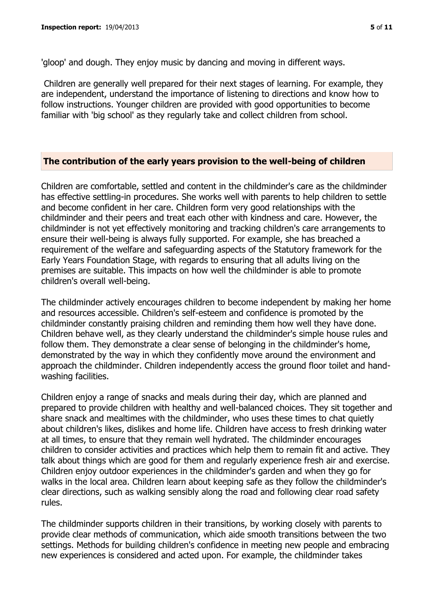'gloop' and dough. They enjoy music by dancing and moving in different ways.

Children are generally well prepared for their next stages of learning. For example, they are independent, understand the importance of listening to directions and know how to follow instructions. Younger children are provided with good opportunities to become familiar with 'big school' as they regularly take and collect children from school.

#### **The contribution of the early years provision to the well-being of children**

Children are comfortable, settled and content in the childminder's care as the childminder has effective settling-in procedures. She works well with parents to help children to settle and become confident in her care. Children form very good relationships with the childminder and their peers and treat each other with kindness and care. However, the childminder is not yet effectively monitoring and tracking children's care arrangements to ensure their well-being is always fully supported. For example, she has breached a requirement of the welfare and safeguarding aspects of the Statutory framework for the Early Years Foundation Stage, with regards to ensuring that all adults living on the premises are suitable. This impacts on how well the childminder is able to promote children's overall well-being.

The childminder actively encourages children to become independent by making her home and resources accessible. Children's self-esteem and confidence is promoted by the childminder constantly praising children and reminding them how well they have done. Children behave well, as they clearly understand the childminder's simple house rules and follow them. They demonstrate a clear sense of belonging in the childminder's home, demonstrated by the way in which they confidently move around the environment and approach the childminder. Children independently access the ground floor toilet and handwashing facilities.

Children enjoy a range of snacks and meals during their day, which are planned and prepared to provide children with healthy and well-balanced choices. They sit together and share snack and mealtimes with the childminder, who uses these times to chat quietly about children's likes, dislikes and home life. Children have access to fresh drinking water at all times, to ensure that they remain well hydrated. The childminder encourages children to consider activities and practices which help them to remain fit and active. They talk about things which are good for them and regularly experience fresh air and exercise. Children enjoy outdoor experiences in the childminder's garden and when they go for walks in the local area. Children learn about keeping safe as they follow the childminder's clear directions, such as walking sensibly along the road and following clear road safety rules.

The childminder supports children in their transitions, by working closely with parents to provide clear methods of communication, which aide smooth transitions between the two settings. Methods for building children's confidence in meeting new people and embracing new experiences is considered and acted upon. For example, the childminder takes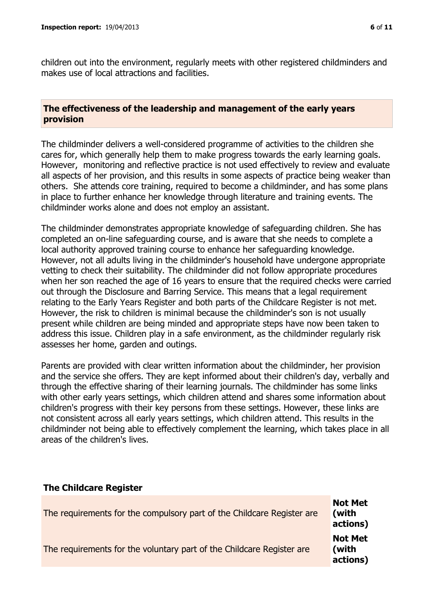children out into the environment, regularly meets with other registered childminders and makes use of local attractions and facilities.

#### **The effectiveness of the leadership and management of the early years provision**

The childminder delivers a well-considered programme of activities to the children she cares for, which generally help them to make progress towards the early learning goals. However, monitoring and reflective practice is not used effectively to review and evaluate all aspects of her provision, and this results in some aspects of practice being weaker than others. She attends core training, required to become a childminder, and has some plans in place to further enhance her knowledge through literature and training events. The childminder works alone and does not employ an assistant.

The childminder demonstrates appropriate knowledge of safeguarding children. She has completed an on-line safeguarding course, and is aware that she needs to complete a local authority approved training course to enhance her safeguarding knowledge. However, not all adults living in the childminder's household have undergone appropriate vetting to check their suitability. The childminder did not follow appropriate procedures when her son reached the age of 16 years to ensure that the required checks were carried out through the Disclosure and Barring Service. This means that a legal requirement relating to the Early Years Register and both parts of the Childcare Register is not met. However, the risk to children is minimal because the childminder's son is not usually present while children are being minded and appropriate steps have now been taken to address this issue. Children play in a safe environment, as the childminder regularly risk assesses her home, garden and outings.

Parents are provided with clear written information about the childminder, her provision and the service she offers. They are kept informed about their children's day, verbally and through the effective sharing of their learning journals. The childminder has some links with other early years settings, which children attend and shares some information about children's progress with their key persons from these settings. However, these links are not consistent across all early years settings, which children attend. This results in the childminder not being able to effectively complement the learning, which takes place in all areas of the children's lives.

#### **The Childcare Register** The requirements for the compulsory part of the Childcare Register are **Not Met (with actions)** The requirements for the voluntary part of the Childcare Register are **Not Met (with actions)**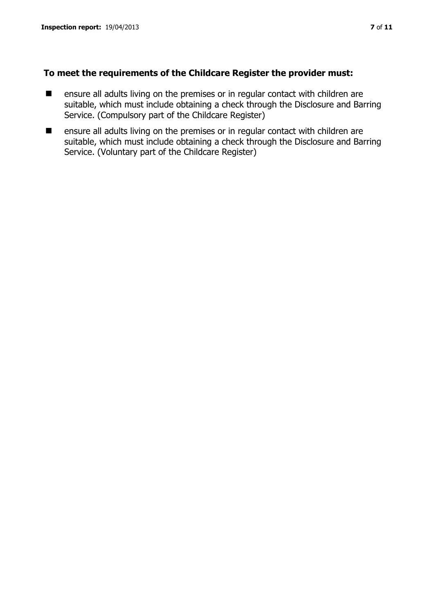# **To meet the requirements of the Childcare Register the provider must:**

- ensure all adults living on the premises or in regular contact with children are suitable, which must include obtaining a check through the Disclosure and Barring Service. (Compulsory part of the Childcare Register)
- ensure all adults living on the premises or in regular contact with children are suitable, which must include obtaining a check through the Disclosure and Barring Service. (Voluntary part of the Childcare Register)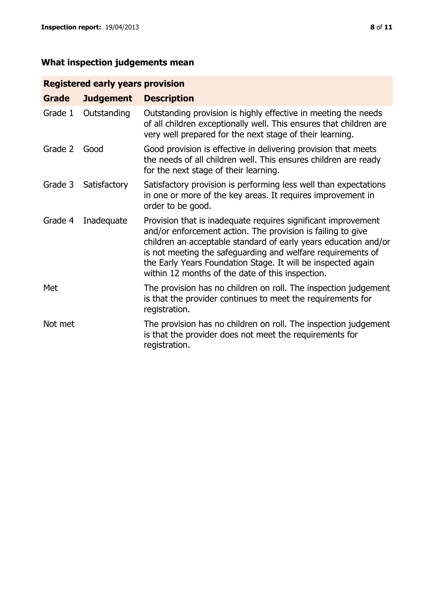# **What inspection judgements mean**

# **Registered early years provision**

| Grade   | <b>Judgement</b> | <b>Description</b>                                                                                                                                                                                                                                                                                                                                                                 |
|---------|------------------|------------------------------------------------------------------------------------------------------------------------------------------------------------------------------------------------------------------------------------------------------------------------------------------------------------------------------------------------------------------------------------|
| Grade 1 | Outstanding      | Outstanding provision is highly effective in meeting the needs<br>of all children exceptionally well. This ensures that children are<br>very well prepared for the next stage of their learning.                                                                                                                                                                                   |
| Grade 2 | Good             | Good provision is effective in delivering provision that meets<br>the needs of all children well. This ensures children are ready<br>for the next stage of their learning.                                                                                                                                                                                                         |
| Grade 3 | Satisfactory     | Satisfactory provision is performing less well than expectations<br>in one or more of the key areas. It requires improvement in<br>order to be good.                                                                                                                                                                                                                               |
| Grade 4 | Inadequate       | Provision that is inadequate requires significant improvement<br>and/or enforcement action. The provision is failing to give<br>children an acceptable standard of early years education and/or<br>is not meeting the safeguarding and welfare requirements of<br>the Early Years Foundation Stage. It will be inspected again<br>within 12 months of the date of this inspection. |
| Met     |                  | The provision has no children on roll. The inspection judgement<br>is that the provider continues to meet the requirements for<br>registration.                                                                                                                                                                                                                                    |
| Not met |                  | The provision has no children on roll. The inspection judgement<br>is that the provider does not meet the requirements for<br>registration.                                                                                                                                                                                                                                        |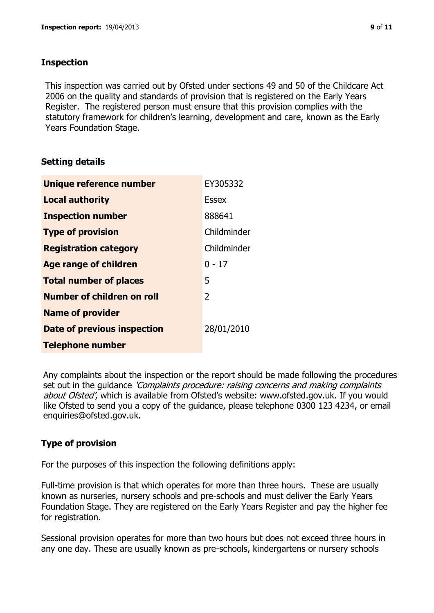### **Inspection**

This inspection was carried out by Ofsted under sections 49 and 50 of the Childcare Act 2006 on the quality and standards of provision that is registered on the Early Years Register. The registered person must ensure that this provision complies with the statutory framework for children's learning, development and care, known as the Early Years Foundation Stage.

# **Setting details**

| Unique reference number       | EY305332    |
|-------------------------------|-------------|
| <b>Local authority</b>        | Essex       |
| <b>Inspection number</b>      | 888641      |
| <b>Type of provision</b>      | Childminder |
| <b>Registration category</b>  | Childminder |
| <b>Age range of children</b>  | $0 - 17$    |
| <b>Total number of places</b> | 5           |
| Number of children on roll    | 2           |
| <b>Name of provider</b>       |             |
| Date of previous inspection   | 28/01/2010  |
| <b>Telephone number</b>       |             |

Any complaints about the inspection or the report should be made following the procedures set out in the guidance *'Complaints procedure: raising concerns and making complaints* about Ofsted', which is available from Ofsted's website: www.ofsted.gov.uk. If you would like Ofsted to send you a copy of the guidance, please telephone 0300 123 4234, or email enquiries@ofsted.gov.uk.

# **Type of provision**

For the purposes of this inspection the following definitions apply:

Full-time provision is that which operates for more than three hours. These are usually known as nurseries, nursery schools and pre-schools and must deliver the Early Years Foundation Stage. They are registered on the Early Years Register and pay the higher fee for registration.

Sessional provision operates for more than two hours but does not exceed three hours in any one day. These are usually known as pre-schools, kindergartens or nursery schools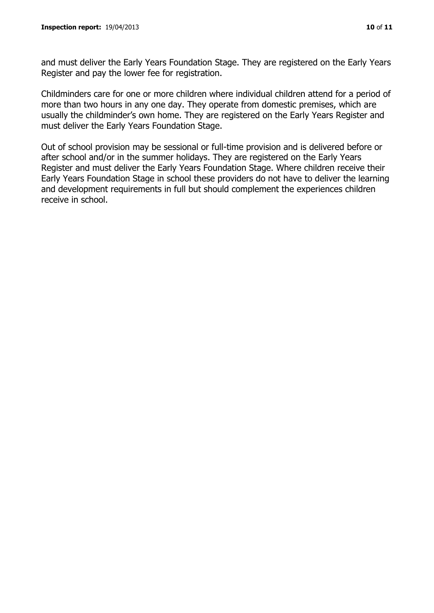and must deliver the Early Years Foundation Stage. They are registered on the Early Years Register and pay the lower fee for registration.

Childminders care for one or more children where individual children attend for a period of more than two hours in any one day. They operate from domestic premises, which are usually the childminder's own home. They are registered on the Early Years Register and must deliver the Early Years Foundation Stage.

Out of school provision may be sessional or full-time provision and is delivered before or after school and/or in the summer holidays. They are registered on the Early Years Register and must deliver the Early Years Foundation Stage. Where children receive their Early Years Foundation Stage in school these providers do not have to deliver the learning and development requirements in full but should complement the experiences children receive in school.